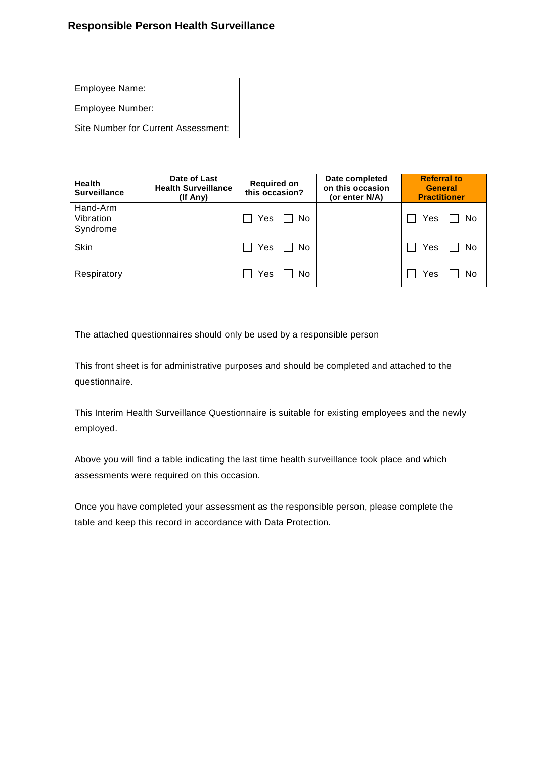# **Responsible Person Health Surveillance**

| Employee Name:                      |  |
|-------------------------------------|--|
| <b>Employee Number:</b>             |  |
| Site Number for Current Assessment: |  |

| <b>Health</b><br><b>Surveillance</b> | Date of Last<br><b>Health Surveillance</b><br>(If Any) | <b>Required on</b><br>this occasion? | Date completed<br>on this occasion<br>(or enter N/A) | <b>Referral to</b><br><b>General</b><br><b>Practitioner</b> |
|--------------------------------------|--------------------------------------------------------|--------------------------------------|------------------------------------------------------|-------------------------------------------------------------|
| Hand-Arm<br>Vibration<br>Syndrome    |                                                        | Yes<br>No.                           |                                                      | Yes<br>No                                                   |
| Skin                                 |                                                        | Yes<br>No.                           |                                                      | Yes<br>No                                                   |
| Respiratory                          |                                                        | Yes<br>No                            |                                                      | Yes<br>No                                                   |

The attached questionnaires should only be used by a responsible person

This front sheet is for administrative purposes and should be completed and attached to the questionnaire.

This Interim Health Surveillance Questionnaire is suitable for existing employees and the newly employed.

Above you will find a table indicating the last time health surveillance took place and which assessments were required on this occasion.

Once you have completed your assessment as the responsible person, please complete the table and keep this record in accordance with Data Protection.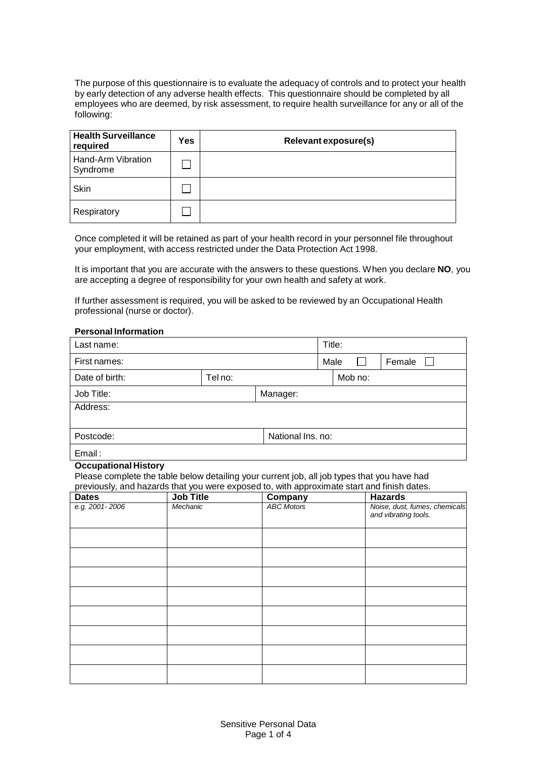The purpose of this questionnaire is to evaluate the adequacy of controls and to protect your health by early detection of any adverse health effects. This questionnaire should be completed by all employees who are deemed, by risk assessment, to require health surveillance for any or all of the following:

| <b>Health Surveillance</b><br>required | Yes | Relevant exposure(s) |
|----------------------------------------|-----|----------------------|
| Hand-Arm Vibration<br>Syndrome         |     |                      |
| Skin                                   |     |                      |
| Respiratory                            |     |                      |

Once completed it will be retained as part of your health record in your personnel file throughout your employment, with access restricted under the Data Protection Act 1998.

It is important that you are accurate with the answers to these questions. When you declare **NO**, you are accepting a degree of responsibility for your own health and safety at work.

If further assessment is required, you will be asked to be reviewed by an Occupational Health professional (nurse or doctor).

### **Personal Information**

| Last name:     |         |                   | Title: |         |        |
|----------------|---------|-------------------|--------|---------|--------|
| First names:   |         |                   | Male   |         | Female |
| Date of birth: | Tel no: |                   |        | Mob no: |        |
| Job Title:     |         | Manager:          |        |         |        |
| Address:       |         |                   |        |         |        |
|                |         |                   |        |         |        |
| Postcode:      |         | National Ins. no: |        |         |        |
| Email:         |         |                   |        |         |        |

#### **Occupational History**

Please complete the table below detailing your current job, all job types that you have had previously, and hazards that you were exposed to, with approximate start and finish dates.

| <b>Dates</b>   | <b>Job Title</b> | Company           | <b>Hazards</b>                                        |
|----------------|------------------|-------------------|-------------------------------------------------------|
| e.g. 2001-2006 | Mechanic         | <b>ABC Motors</b> | Noise, dust, fumes, chemicals<br>and vibrating tools. |
|                |                  |                   |                                                       |
|                |                  |                   |                                                       |
|                |                  |                   |                                                       |
|                |                  |                   |                                                       |
|                |                  |                   |                                                       |
|                |                  |                   |                                                       |
|                |                  |                   |                                                       |
|                |                  |                   |                                                       |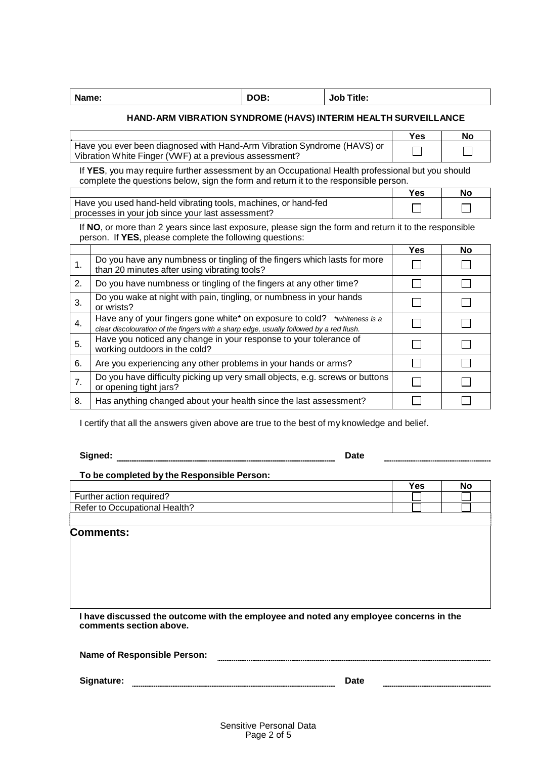| Name: | DOB: | Title:<br>Job |
|-------|------|---------------|
|       |      |               |

## **HAND-ARM VIBRATION SYNDROME (HAVS) INTERIM HEALTH SURVEILLANCE**

|                                                                         | Yes | No. |
|-------------------------------------------------------------------------|-----|-----|
| Have you ever been diagnosed with Hand-Arm Vibration Syndrome (HAVS) or |     |     |
| Vibration White Finger (VWF) at a previous assessment?                  |     |     |

If **YES**, you may require further assessment by an Occupational Health professional but you should complete the questions below, sign the form and return it to the responsible person.

|                                                                | ≚es | Nc |
|----------------------------------------------------------------|-----|----|
| Have you used hand-held vibrating tools, machines, or hand-fed |     |    |
| processes in your job since your last assessment?              |     |    |

If **NO**, or more than 2 years since last exposure, please sign the form and return it to the responsible person. If **YES**, please complete the following questions:

|    |                                                                                                                                                                      | Yes | <b>No</b> |
|----|----------------------------------------------------------------------------------------------------------------------------------------------------------------------|-----|-----------|
| 1. | Do you have any numbness or tingling of the fingers which lasts for more<br>than 20 minutes after using vibrating tools?                                             |     |           |
| 2. | Do you have numbness or tingling of the fingers at any other time?                                                                                                   |     |           |
| 3. | Do you wake at night with pain, tingling, or numbness in your hands<br>or wrists?                                                                                    |     |           |
| 4. | Have any of your fingers gone white* on exposure to cold? *whiteness is a<br>clear discolouration of the fingers with a sharp edge, usually followed by a red flush. |     |           |
| 5. | Have you noticed any change in your response to your tolerance of<br>working outdoors in the cold?                                                                   |     |           |
| 6. | Are you experiencing any other problems in your hands or arms?                                                                                                       |     |           |
| 7. | Do you have difficulty picking up very small objects, e.g. screws or buttons<br>or opening tight jars?                                                               |     |           |
| 8. | Has anything changed about your health since the last assessment?                                                                                                    |     |           |

I certify that all the answers given above are true to the best of my knowledge and belief.

**Signed: Date**

### **To be completed by the Responsible Person:**

|                                    | ′es | No |
|------------------------------------|-----|----|
| Further action required?           |     |    |
| Refer to C<br>Occupational Health? |     |    |
|                                    |     |    |

**Comments:**

**I have discussed the outcome with the employee and noted any employee concerns in the comments section above.**

|            | <b>Name of Responsible Person:</b> |      |  |
|------------|------------------------------------|------|--|
|            |                                    |      |  |
| Signature: |                                    | Date |  |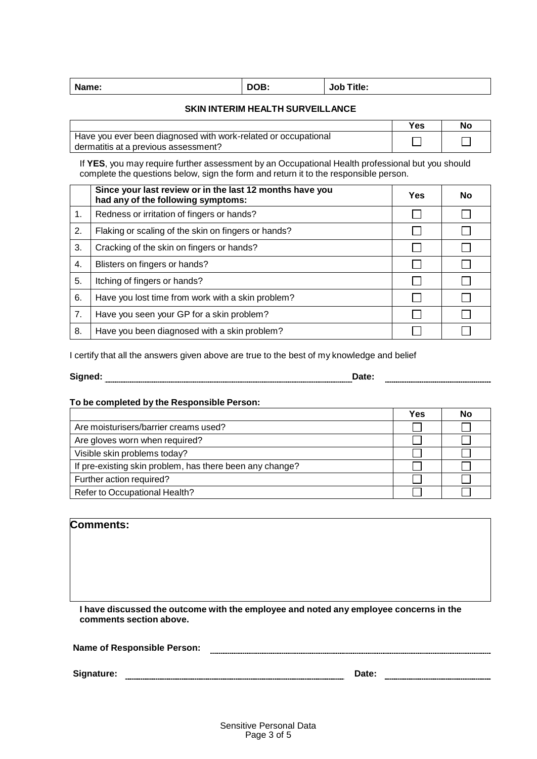| Name: | DOB: | <b>Job Title:</b> |
|-------|------|-------------------|
|-------|------|-------------------|

# **SKIN INTERIM HEALTH SURVEILLANCE**

|                                                                | Yes | NC |
|----------------------------------------------------------------|-----|----|
| Have you ever been diagnosed with work-related or occupational |     |    |
| dermatitis at a previous assessment?                           |     |    |

If **YES**, you may require further assessment by an Occupational Health professional but you should complete the questions below, sign the form and return it to the responsible person.

|    | Since your last review or in the last 12 months have you<br>had any of the following symptoms: | Yes | No |
|----|------------------------------------------------------------------------------------------------|-----|----|
| 1. | Redness or irritation of fingers or hands?                                                     |     |    |
| 2. | Flaking or scaling of the skin on fingers or hands?                                            |     |    |
| 3. | Cracking of the skin on fingers or hands?                                                      |     |    |
| 4. | Blisters on fingers or hands?                                                                  |     |    |
| 5. | Itching of fingers or hands?                                                                   |     |    |
| 6. | Have you lost time from work with a skin problem?                                              |     |    |
| 7. | Have you seen your GP for a skin problem?                                                      |     |    |
| 8. | Have you been diagnosed with a skin problem?                                                   |     |    |

I certify that all the answers given above are true to the best of my knowledge and belief

| Signed:<br>Date: |      |
|------------------|------|
|                  | ____ |

# **To be completed by the Responsible Person:**

|                                                          | Yes | No |
|----------------------------------------------------------|-----|----|
| Are moisturisers/barrier creams used?                    |     |    |
| Are gloves worn when required?                           |     |    |
| Visible skin problems today?                             |     |    |
| If pre-existing skin problem, has there been any change? |     |    |
| Further action required?                                 |     |    |
| Refer to Occupational Health?                            |     |    |

# **Comments:**

**I have discussed the outcome with the employee and noted any employee concerns in the comments section above.**

| <b>Name of Responsible Person:</b> |  |
|------------------------------------|--|
|                                    |  |
|                                    |  |

**Signature: Date:**